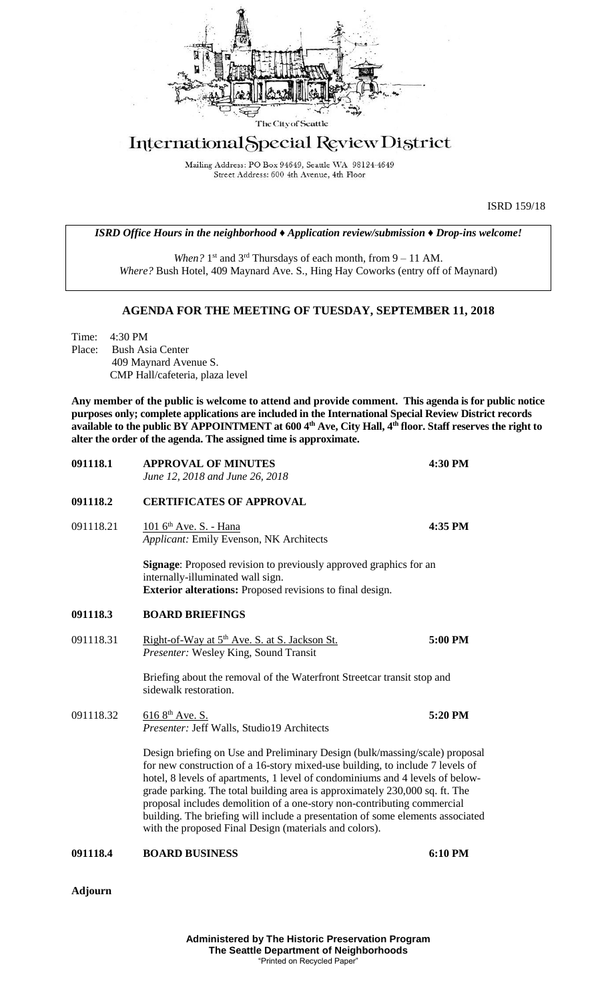

## International Special Review District

Mailing Address: PO Box 94649, Seattle WA 98124-4649 Street Address: 600 4th Avenue, 4th Floor

ISRD 159/18

*ISRD Office Hours in the neighborhood ♦ Application review/submission ♦ Drop-ins welcome!*

When? 1<sup>st</sup> and 3<sup>rd</sup> Thursdays of each month, from 9 – 11 AM. *Where?* Bush Hotel, 409 Maynard Ave. S., Hing Hay Coworks (entry off of Maynard)

## **AGENDA FOR THE MEETING OF TUESDAY, SEPTEMBER 11, 2018**

Time: 4:30 PM Place: Bush Asia Center 409 Maynard Avenue S. CMP Hall/cafeteria, plaza level

**Any member of the public is welcome to attend and provide comment. This agenda is for public notice purposes only; complete applications are included in the International Special Review District records available to the public BY APPOINTMENT at 600 4th Ave, City Hall, 4th floor. Staff reserves the right to alter the order of the agenda. The assigned time is approximate.** 

| 091118.1  | <b>APPROVAL OF MINUTES</b><br>June 12, 2018 and June 26, 2018                                                                                                                                                                                                                                                                                                                                                                                                                                                                                       | 4:30 PM |
|-----------|-----------------------------------------------------------------------------------------------------------------------------------------------------------------------------------------------------------------------------------------------------------------------------------------------------------------------------------------------------------------------------------------------------------------------------------------------------------------------------------------------------------------------------------------------------|---------|
| 091118.2  | <b>CERTIFICATES OF APPROVAL</b>                                                                                                                                                                                                                                                                                                                                                                                                                                                                                                                     |         |
| 091118.21 | 101 6 <sup>th</sup> Ave. S. - Hana<br>Applicant: Emily Evenson, NK Architects                                                                                                                                                                                                                                                                                                                                                                                                                                                                       | 4:35 PM |
|           | <b>Signage:</b> Proposed revision to previously approved graphics for an<br>internally-illuminated wall sign.<br>Exterior alterations: Proposed revisions to final design.                                                                                                                                                                                                                                                                                                                                                                          |         |
| 091118.3  | <b>BOARD BRIEFINGS</b>                                                                                                                                                                                                                                                                                                                                                                                                                                                                                                                              |         |
| 091118.31 | Right-of-Way at 5 <sup>th</sup> Ave. S. at S. Jackson St.<br>Presenter: Wesley King, Sound Transit                                                                                                                                                                                                                                                                                                                                                                                                                                                  | 5:00 PM |
|           | Briefing about the removal of the Waterfront Streetcar transit stop and<br>sidewalk restoration.                                                                                                                                                                                                                                                                                                                                                                                                                                                    |         |
| 091118.32 | $616 8$ <sup>th</sup> Ave. S.<br>Presenter: Jeff Walls, Studio19 Architects                                                                                                                                                                                                                                                                                                                                                                                                                                                                         | 5:20 PM |
|           | Design briefing on Use and Preliminary Design (bulk/massing/scale) proposal<br>for new construction of a 16-story mixed-use building, to include 7 levels of<br>hotel, 8 levels of apartments, 1 level of condominiums and 4 levels of below-<br>grade parking. The total building area is approximately 230,000 sq. ft. The<br>proposal includes demolition of a one-story non-contributing commercial<br>building. The briefing will include a presentation of some elements associated<br>with the proposed Final Design (materials and colors). |         |
|           |                                                                                                                                                                                                                                                                                                                                                                                                                                                                                                                                                     |         |

**091118.4 BOARD BUSINESS 6:10 PM**

**Adjourn**